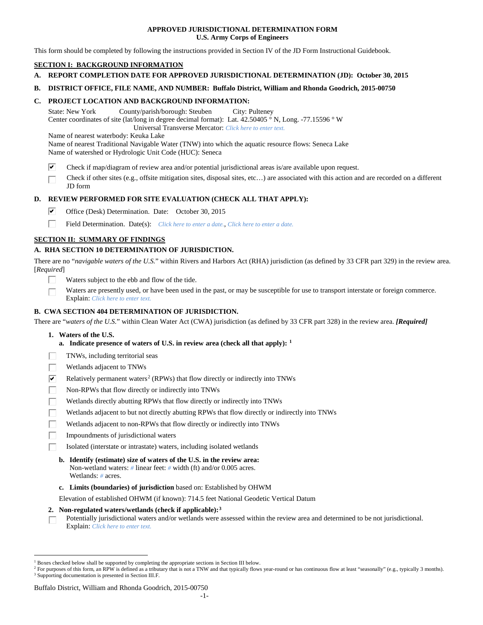## **APPROVED JURISDICTIONAL DETERMINATION FORM U.S. Army Corps of Engineers**

This form should be completed by following the instructions provided in Section IV of the JD Form Instructional Guidebook.

# **SECTION I: BACKGROUND INFORMATION**

- **A. REPORT COMPLETION DATE FOR APPROVED JURISDICTIONAL DETERMINATION (JD): October 30, 2015**
- **B. DISTRICT OFFICE, FILE NAME, AND NUMBER: Buffalo District, William and Rhonda Goodrich, 2015-00750**

## **C. PROJECT LOCATION AND BACKGROUND INFORMATION:**

State: New York County/parish/borough: Steuben City: Pulteney Center coordinates of site (lat/long in degree decimal format): Lat. 42.50405 ° N, Long. -77.15596 ° W Universal Transverse Mercator: *Click here to enter text.*

Name of nearest waterbody: Keuka Lake

Name of nearest Traditional Navigable Water (TNW) into which the aquatic resource flows: Seneca Lake Name of watershed or Hydrologic Unit Code (HUC): Seneca

- ☑ Check if map/diagram of review area and/or potential jurisdictional areas is/are available upon request.
- Check if other sites (e.g., offsite mitigation sites, disposal sites, etc…) are associated with this action and are recorded on a different JD form

# **D. REVIEW PERFORMED FOR SITE EVALUATION (CHECK ALL THAT APPLY):**

- ⊽ Office (Desk) Determination. Date: October 30, 2015
- п Field Determination. Date(s): *Click here to enter a date.*, *Click here to enter a date.*

# **SECTION II: SUMMARY OF FINDINGS**

# **A. RHA SECTION 10 DETERMINATION OF JURISDICTION.**

There are no "*navigable waters of the U.S.*" within Rivers and Harbors Act (RHA) jurisdiction (as defined by 33 CFR part 329) in the review area. [*Required*]

- Waters subject to the ebb and flow of the tide.
- Waters are presently used, or have been used in the past, or may be susceptible for use to transport interstate or foreign commerce. Explain: *Click here to enter text.*

# **B. CWA SECTION 404 DETERMINATION OF JURISDICTION.**

There are "*waters of the U.S.*" within Clean Water Act (CWA) jurisdiction (as defined by 33 CFR part 328) in the review area. *[Required]*

- **1. Waters of the U.S.**
	- **a. Indicate presence of waters of U.S. in review area (check all that apply): [1](#page-0-0)**
- TNWs, including territorial seas
- Wetlands adjacent to TNWs
- $\overline{\mathbf{v}}$ Relatively permanent waters<sup>[2](#page-0-1)</sup> (RPWs) that flow directly or indirectly into TNWs
- П Non-RPWs that flow directly or indirectly into TNWs
- Wetlands directly abutting RPWs that flow directly or indirectly into TNWs
- Wetlands adjacent to but not directly abutting RPWs that flow directly or indirectly into TNWs
- Wetlands adjacent to non-RPWs that flow directly or indirectly into TNWs
- Impoundments of jurisdictional waters
- Isolated (interstate or intrastate) waters, including isolated wetlands
	- **b. Identify (estimate) size of waters of the U.S. in the review area:** Non-wetland waters: *#* linear feet: *#* width (ft) and/or 0.005 acres. Wetlands: *#* acres.
	- **c. Limits (boundaries) of jurisdiction** based on: Established by OHWM

Elevation of established OHWM (if known): 714.5 feet National Geodetic Vertical Datum

### **2. Non-regulated waters/wetlands (check if applicable):[3](#page-0-2)**

Potentially jurisdictional waters and/or wetlands were assessed within the review area and determined to be not jurisdictional. П Explain: *Click here to enter text.*

<span id="page-0-0"></span><sup>&</sup>lt;sup>1</sup> Boxes checked below shall be supported by completing the appropriate sections in Section III below.

<span id="page-0-2"></span><span id="page-0-1"></span><sup>&</sup>lt;sup>2</sup> For purposes of this form, an RPW is defined as a tributary that is not a TNW and that typically flows year-round or has continuous flow at least "seasonally" (e.g., typically 3 months). <sup>3</sup> Supporting documentation is presented in Section III.F.

Buffalo District, William and Rhonda Goodrich, 2015-00750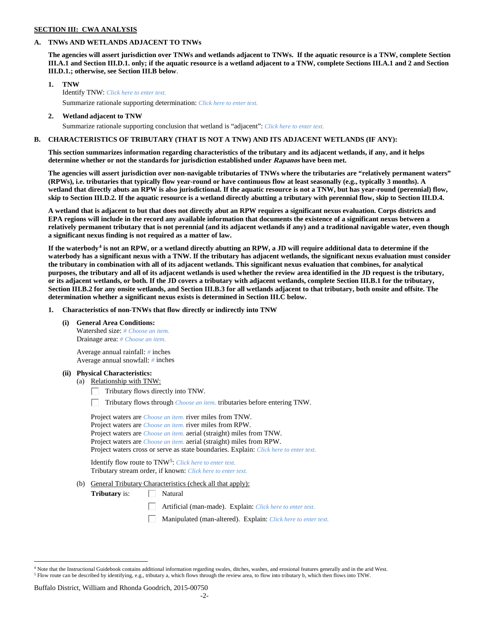### **SECTION III: CWA ANALYSIS**

## **A. TNWs AND WETLANDS ADJACENT TO TNWs**

**The agencies will assert jurisdiction over TNWs and wetlands adjacent to TNWs. If the aquatic resource is a TNW, complete Section III.A.1 and Section III.D.1. only; if the aquatic resource is a wetland adjacent to a TNW, complete Sections III.A.1 and 2 and Section III.D.1.; otherwise, see Section III.B below**.

- **1. TNW**  Identify TNW: *Click here to enter text.*
	- Summarize rationale supporting determination: *Click here to enter text.*
- **2. Wetland adjacent to TNW** Summarize rationale supporting conclusion that wetland is "adjacent": *Click here to enter text.*

### **B. CHARACTERISTICS OF TRIBUTARY (THAT IS NOT A TNW) AND ITS ADJACENT WETLANDS (IF ANY):**

**This section summarizes information regarding characteristics of the tributary and its adjacent wetlands, if any, and it helps determine whether or not the standards for jurisdiction established under Rapanos have been met.** 

**The agencies will assert jurisdiction over non-navigable tributaries of TNWs where the tributaries are "relatively permanent waters" (RPWs), i.e. tributaries that typically flow year-round or have continuous flow at least seasonally (e.g., typically 3 months). A wetland that directly abuts an RPW is also jurisdictional. If the aquatic resource is not a TNW, but has year-round (perennial) flow, skip to Section III.D.2. If the aquatic resource is a wetland directly abutting a tributary with perennial flow, skip to Section III.D.4.**

**A wetland that is adjacent to but that does not directly abut an RPW requires a significant nexus evaluation. Corps districts and EPA regions will include in the record any available information that documents the existence of a significant nexus between a relatively permanent tributary that is not perennial (and its adjacent wetlands if any) and a traditional navigable water, even though a significant nexus finding is not required as a matter of law.**

**If the waterbody[4](#page-1-0) is not an RPW, or a wetland directly abutting an RPW, a JD will require additional data to determine if the waterbody has a significant nexus with a TNW. If the tributary has adjacent wetlands, the significant nexus evaluation must consider the tributary in combination with all of its adjacent wetlands. This significant nexus evaluation that combines, for analytical purposes, the tributary and all of its adjacent wetlands is used whether the review area identified in the JD request is the tributary, or its adjacent wetlands, or both. If the JD covers a tributary with adjacent wetlands, complete Section III.B.1 for the tributary, Section III.B.2 for any onsite wetlands, and Section III.B.3 for all wetlands adjacent to that tributary, both onsite and offsite. The determination whether a significant nexus exists is determined in Section III.C below.**

**1. Characteristics of non-TNWs that flow directly or indirectly into TNW**

**(i) General Area Conditions:**

Watershed size: *# Choose an item.* Drainage area: *# Choose an item.*

Average annual rainfall: *#* inches Average annual snowfall: *#* inches

### **(ii) Physical Characteristics:**

- (a) Relationship with TNW:
	- $\Box$  Tributary flows directly into TNW.

Tributary flows through *Choose an item.* tributaries before entering TNW.

| Project waters are <i>Choose an item</i> , river miles from TNW.                      |  |
|---------------------------------------------------------------------------------------|--|
| Project waters are <i>Choose an item</i> , river miles from RPW.                      |  |
| Project waters are <i>Choose an item.</i> aerial (straight) miles from TNW.           |  |
| Project waters are <i>Choose an item.</i> aerial (straight) miles from RPW.           |  |
| Project waters cross or serve as state boundaries. Explain: Click here to enter text. |  |

Identify flow route to TNW[5:](#page-1-1) *Click here to enter text.* Tributary stream order, if known: *Click here to enter text.*

(b) General Tributary Characteristics (check all that apply):

**Tributary** is:  $\Box$  Natural

- Artificial (man-made). Explain: *Click here to enter text.*
- Manipulated (man-altered). Explain: *Click here to enter text.*

#### Buffalo District, William and Rhonda Goodrich, 2015-00750

<span id="page-1-1"></span><span id="page-1-0"></span> $4$  Note that the Instructional Guidebook contains additional information regarding swales, ditches, washes, and erosional features generally and in the arid West. <sup>5</sup> Flow route can be described by identifying, e.g., tributary a, which flows through the review area, to flow into tributary b, which then flows into TNW.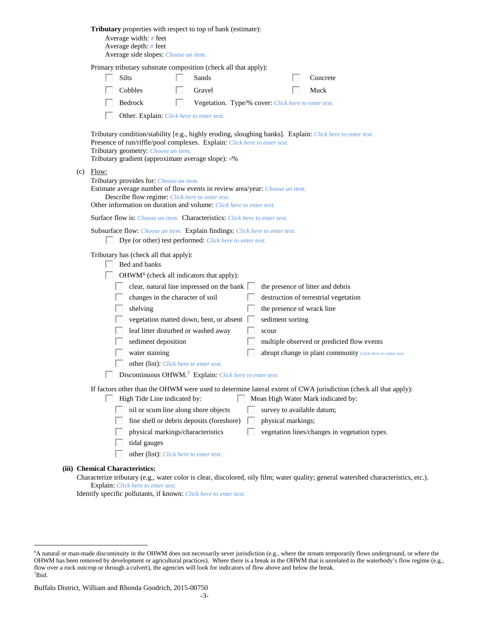| Tributary properties with respect to top of bank (estimate):<br>Average width: # feet<br>Average depth: $#$ feet<br>Average side slopes: Choose an item.                                                                                                                                                                                                                                                                                                                                                                                                                                                  |                                                                                                          |
|-----------------------------------------------------------------------------------------------------------------------------------------------------------------------------------------------------------------------------------------------------------------------------------------------------------------------------------------------------------------------------------------------------------------------------------------------------------------------------------------------------------------------------------------------------------------------------------------------------------|----------------------------------------------------------------------------------------------------------|
| Primary tributary substrate composition (check all that apply):<br>Silts<br>H<br>Sands<br>Cobbles<br>Gravel                                                                                                                                                                                                                                                                                                                                                                                                                                                                                               | Concrete<br>Muck                                                                                         |
| Bedrock<br>Vegetation. Type/% cover: Click here to enter text.<br>L<br>Other. Explain: Click here to enter text.                                                                                                                                                                                                                                                                                                                                                                                                                                                                                          |                                                                                                          |
| Tributary condition/stability [e.g., highly eroding, sloughing banks]. Explain: Click here to enter text.<br>Presence of run/riffle/pool complexes. Explain: Click here to enter text.<br>Tributary geometry: Choose an item.<br>Tributary gradient (approximate average slope): #%                                                                                                                                                                                                                                                                                                                       |                                                                                                          |
| $(c)$ Flow:<br>Tributary provides for: Choose an item.<br>Estimate average number of flow events in review area/year: Choose an item.<br>Describe flow regime: Click here to enter text.<br>Other information on duration and volume: Click here to enter text.                                                                                                                                                                                                                                                                                                                                           |                                                                                                          |
| <b>Surface flow is:</b> Choose an item. <b>Characteristics:</b> Click here to enter text.                                                                                                                                                                                                                                                                                                                                                                                                                                                                                                                 |                                                                                                          |
| Subsurface flow: Choose an item. Explain findings: Click here to enter text.<br>Dye (or other) test performed: Click here to enter text.                                                                                                                                                                                                                                                                                                                                                                                                                                                                  |                                                                                                          |
| Tributary has (check all that apply):<br>Bed and banks<br>OHWM <sup>6</sup> (check all indicators that apply):<br>clear, natural line impressed on the bank $\Box$<br>the presence of litter and debris<br>changes in the character of soil<br>destruction of terrestrial vegetation<br>shelving<br>the presence of wrack line<br>vegetation matted down, bent, or absent<br>sediment sorting<br>leaf litter disturbed or washed away<br>scour<br>sediment deposition<br>water staining<br>other (list): Click here to enter text.<br>Discontinuous OHWM. <sup>7</sup> Explain: Click here to enter text. | multiple observed or predicted flow events<br>abrupt change in plant community Click here to enter text. |
| If factors other than the OHWM were used to determine lateral extent of CWA jurisdiction (check all that apply):<br>High Tide Line indicated by:<br>Mean High Water Mark indicated by:<br>oil or scum line along shore objects<br>survey to available datum;<br>fine shell or debris deposits (foreshore)<br>physical markings;<br>physical markings/characteristics<br>tidal gauges<br>other (list): Click here to enter text.                                                                                                                                                                           | vegetation lines/changes in vegetation types.                                                            |
| (iii) Chemical Characteristics:                                                                                                                                                                                                                                                                                                                                                                                                                                                                                                                                                                           |                                                                                                          |

Identify specific pollutants, if known: *Click here to enter text.*

Characterize tributary (e.g., water color is clear, discolored, oily film; water quality; general watershed characteristics, etc.). Explain: *Click here to enter text.*

<span id="page-2-1"></span><span id="page-2-0"></span> <sup>6</sup> <sup>6</sup>A natural or man-made discontinuity in the OHWM does not necessarily sever jurisdiction (e.g., where the stream temporarily flows underground, or where the OHWM has been removed by development or agricultural practices). Where there is a break in the OHWM that is unrelated to the waterbody's flow regime (e.g., flow over a rock outcrop or through a culvert), the agencies will look for indicators of flow above and below the break. 7 Ibid.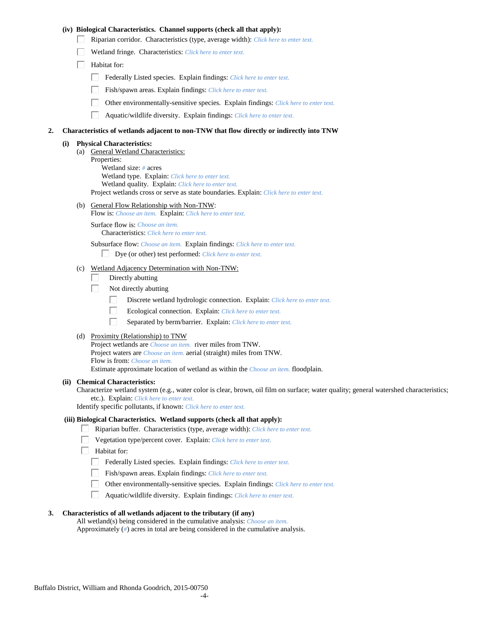## **(iv) Biological Characteristics. Channel supports (check all that apply):**

- Riparian corridor. Characteristics (type, average width): *Click here to enter text.*
- Wetland fringe. Characteristics: *Click here to enter text.*
- $\Box$  Habitat for:
	- Federally Listed species. Explain findings: *Click here to enter text.*
	- Fish/spawn areas. Explain findings: *Click here to enter text.*
	- Other environmentally-sensitive species. Explain findings: *Click here to enter text.*
	- П. Aquatic/wildlife diversity. Explain findings: *Click here to enter text.*

#### **2. Characteristics of wetlands adjacent to non-TNW that flow directly or indirectly into TNW**

#### **(i) Physical Characteristics:**

(a) General Wetland Characteristics: Properties: Wetland size: *#* acres Wetland type. Explain: *Click here to enter text.* Wetland quality. Explain: *Click here to enter text.* Project wetlands cross or serve as state boundaries. Explain: *Click here to enter text.*

(b) General Flow Relationship with Non-TNW:

Flow is: *Choose an item.* Explain: *Click here to enter text.*

Surface flow is: *Choose an item.* Characteristics: *Click here to enter text.*

Subsurface flow: *Choose an item.* Explain findings: *Click here to enter text.*

- Dye (or other) test performed: *Click here to enter text.*
- (c) Wetland Adjacency Determination with Non-TNW:
	- Directly abutting П.
	- п Not directly abutting
		- П. Discrete wetland hydrologic connection. Explain: *Click here to enter text.*
		- П. Ecological connection. Explain: *Click here to enter text.*
		- П. Separated by berm/barrier. Explain: *Click here to enter text.*
- (d) Proximity (Relationship) to TNW

Project wetlands are *Choose an item.* river miles from TNW. Project waters are *Choose an item.* aerial (straight) miles from TNW. Flow is from: *Choose an item.* Estimate approximate location of wetland as within the *Choose an item.* floodplain.

#### **(ii) Chemical Characteristics:**

Characterize wetland system (e.g., water color is clear, brown, oil film on surface; water quality; general watershed characteristics; etc.). Explain: *Click here to enter text.*

Identify specific pollutants, if known: *Click here to enter text.*

### **(iii) Biological Characteristics. Wetland supports (check all that apply):**

- Riparian buffer. Characteristics (type, average width): *Click here to enter text.*
	- Vegetation type/percent cover. Explain: *Click here to enter text.*
	- Habitat for:
		- Federally Listed species. Explain findings: *Click here to enter text*.
		- Fish/spawn areas. Explain findings: *Click here to enter text.*
		- Other environmentally-sensitive species. Explain findings: *Click here to enter text.*
		- $\Box$ Aquatic/wildlife diversity. Explain findings: *Click here to enter text.*

## **3. Characteristics of all wetlands adjacent to the tributary (if any)**

All wetland(s) being considered in the cumulative analysis: *Choose an item.* Approximately (*#*) acres in total are being considered in the cumulative analysis.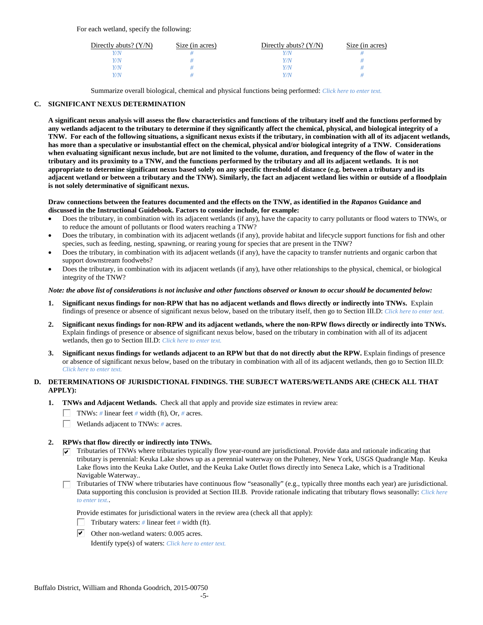For each wetland, specify the following:

| Directly abuts? $(Y/N)$ | Size (in acres) | Directly abuts? $(Y/N)$ | Size (in acres) |
|-------------------------|-----------------|-------------------------|-----------------|
|                         |                 | Y/N                     |                 |
| V/N                     |                 | Y/N                     |                 |
| V/N                     |                 | Y/N                     |                 |
|                         |                 | Y/N                     |                 |

Summarize overall biological, chemical and physical functions being performed: *Click here to enter text.*

# **C. SIGNIFICANT NEXUS DETERMINATION**

**A significant nexus analysis will assess the flow characteristics and functions of the tributary itself and the functions performed by any wetlands adjacent to the tributary to determine if they significantly affect the chemical, physical, and biological integrity of a TNW. For each of the following situations, a significant nexus exists if the tributary, in combination with all of its adjacent wetlands, has more than a speculative or insubstantial effect on the chemical, physical and/or biological integrity of a TNW. Considerations when evaluating significant nexus include, but are not limited to the volume, duration, and frequency of the flow of water in the tributary and its proximity to a TNW, and the functions performed by the tributary and all its adjacent wetlands. It is not appropriate to determine significant nexus based solely on any specific threshold of distance (e.g. between a tributary and its adjacent wetland or between a tributary and the TNW). Similarly, the fact an adjacent wetland lies within or outside of a floodplain is not solely determinative of significant nexus.** 

### **Draw connections between the features documented and the effects on the TNW, as identified in the** *Rapanos* **Guidance and discussed in the Instructional Guidebook. Factors to consider include, for example:**

- Does the tributary, in combination with its adjacent wetlands (if any), have the capacity to carry pollutants or flood waters to TNWs, or to reduce the amount of pollutants or flood waters reaching a TNW?
- Does the tributary, in combination with its adjacent wetlands (if any), provide habitat and lifecycle support functions for fish and other species, such as feeding, nesting, spawning, or rearing young for species that are present in the TNW?
- Does the tributary, in combination with its adjacent wetlands (if any), have the capacity to transfer nutrients and organic carbon that support downstream foodwebs?
- Does the tributary, in combination with its adjacent wetlands (if any), have other relationships to the physical, chemical, or biological integrity of the TNW?

## *Note: the above list of considerations is not inclusive and other functions observed or known to occur should be documented below:*

- **1. Significant nexus findings for non-RPW that has no adjacent wetlands and flows directly or indirectly into TNWs.** Explain findings of presence or absence of significant nexus below, based on the tributary itself, then go to Section III.D: *Click here to enter text.*
- **2. Significant nexus findings for non-RPW and its adjacent wetlands, where the non-RPW flows directly or indirectly into TNWs.**  Explain findings of presence or absence of significant nexus below, based on the tributary in combination with all of its adjacent wetlands, then go to Section III.D: *Click here to enter text.*
- **3. Significant nexus findings for wetlands adjacent to an RPW but that do not directly abut the RPW.** Explain findings of presence or absence of significant nexus below, based on the tributary in combination with all of its adjacent wetlands, then go to Section III.D: *Click here to enter text.*

# **D. DETERMINATIONS OF JURISDICTIONAL FINDINGS. THE SUBJECT WATERS/WETLANDS ARE (CHECK ALL THAT APPLY):**

- **1. TNWs and Adjacent Wetlands.** Check all that apply and provide size estimates in review area:
	- TNWs: *#* linear feet *#* width (ft), Or, *#* acres.
	- $\Box$ Wetlands adjacent to TNWs: *#* acres.
- **2. RPWs that flow directly or indirectly into TNWs.**
	- $\triangledown$  Tributaries of TNWs where tributaries typically flow year-round are jurisdictional. Provide data and rationale indicating that tributary is perennial: Keuka Lake shows up as a perennial waterway on the Pulteney, New York, USGS Quadrangle Map. Keuka Lake flows into the Keuka Lake Outlet, and the Keuka Lake Outlet flows directly into Seneca Lake, which is a Traditional Navigable Waterway..
	- Tributaries of TNW where tributaries have continuous flow "seasonally" (e.g., typically three months each year) are jurisdictional. Data supporting this conclusion is provided at Section III.B. Provide rationale indicating that tributary flows seasonally: *Click here to enter text.*.

Provide estimates for jurisdictional waters in the review area (check all that apply):

- Tributary waters: *#* linear feet *#* width (ft).
- $\triangleright$  Other non-wetland waters: 0.005 acres.

Identify type(s) of waters: *Click here to enter text.*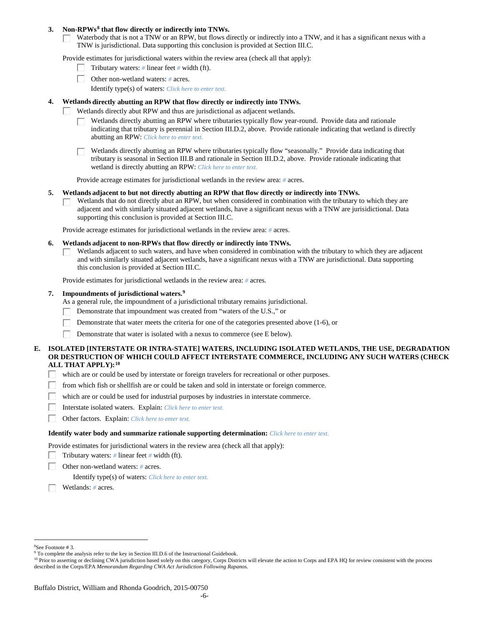### **3. Non-RPWs[8](#page-5-0) that flow directly or indirectly into TNWs.**

Waterbody that is not a TNW or an RPW, but flows directly or indirectly into a TNW, and it has a significant nexus with a TNW is jurisdictional. Data supporting this conclusion is provided at Section III.C.

Provide estimates for jurisdictional waters within the review area (check all that apply):

- Tributary waters: *#* linear feet *#* width (ft).  $\mathbf{L}$
- Other non-wetland waters: *#* acres.
	- Identify type(s) of waters: *Click here to enter text.*
- **4. Wetlands directly abutting an RPW that flow directly or indirectly into TNWs.**
	- ГT. Wetlands directly abut RPW and thus are jurisdictional as adjacent wetlands.
		- Wetlands directly abutting an RPW where tributaries typically flow year-round. Provide data and rationale indicating that tributary is perennial in Section III.D.2, above. Provide rationale indicating that wetland is directly abutting an RPW: *Click here to enter text.*

 $\Box$  Wetlands directly abutting an RPW where tributaries typically flow "seasonally." Provide data indicating that tributary is seasonal in Section III.B and rationale in Section III.D.2, above. Provide rationale indicating that wetland is directly abutting an RPW: *Click here to enter text.*

Provide acreage estimates for jurisdictional wetlands in the review area: *#* acres.

### **5. Wetlands adjacent to but not directly abutting an RPW that flow directly or indirectly into TNWs.**

Wetlands that do not directly abut an RPW, but when considered in combination with the tributary to which they are П adjacent and with similarly situated adjacent wetlands, have a significant nexus with a TNW are jurisidictional. Data supporting this conclusion is provided at Section III.C.

Provide acreage estimates for jurisdictional wetlands in the review area: *#* acres.

- **6. Wetlands adjacent to non-RPWs that flow directly or indirectly into TNWs.** 
	- Wetlands adjacent to such waters, and have when considered in combination with the tributary to which they are adjacent п and with similarly situated adjacent wetlands, have a significant nexus with a TNW are jurisdictional. Data supporting this conclusion is provided at Section III.C.

Provide estimates for jurisdictional wetlands in the review area: *#* acres.

# **7. Impoundments of jurisdictional waters. [9](#page-5-1)**

As a general rule, the impoundment of a jurisdictional tributary remains jurisdictional.

- Demonstrate that impoundment was created from "waters of the U.S.," or
- Demonstrate that water meets the criteria for one of the categories presented above (1-6), or
- Demonstrate that water is isolated with a nexus to commerce (see E below). Г

## **E. ISOLATED [INTERSTATE OR INTRA-STATE] WATERS, INCLUDING ISOLATED WETLANDS, THE USE, DEGRADATION OR DESTRUCTION OF WHICH COULD AFFECT INTERSTATE COMMERCE, INCLUDING ANY SUCH WATERS (CHECK ALL THAT APPLY):[10](#page-5-2)**

- L. which are or could be used by interstate or foreign travelers for recreational or other purposes.
- from which fish or shellfish are or could be taken and sold in interstate or foreign commerce.
- which are or could be used for industrial purposes by industries in interstate commerce. П.
- Г Interstate isolated waters.Explain: *Click here to enter text.*
- п Other factors.Explain: *Click here to enter text.*

#### **Identify water body and summarize rationale supporting determination:** *Click here to enter text.*

Provide estimates for jurisdictional waters in the review area (check all that apply):

- Tributary waters: *#* linear feet *#* width (ft).
- Other non-wetland waters: *#* acres.

Identify type(s) of waters: *Click here to enter text.*

Wetlands: *#* acres.

 $\frac{1}{8}$ See Footnote # 3.

<span id="page-5-1"></span><span id="page-5-0"></span><sup>&</sup>lt;sup>9</sup> To complete the analysis refer to the key in Section III.D.6 of the Instructional Guidebook.

<span id="page-5-2"></span><sup>&</sup>lt;sup>10</sup> Prior to asserting or declining CWA jurisdiction based solely on this category, Corps Districts will elevate the action to Corps and EPA HQ for review consistent with the process described in the Corps/EPA *Memorandum Regarding CWA Act Jurisdiction Following Rapanos.*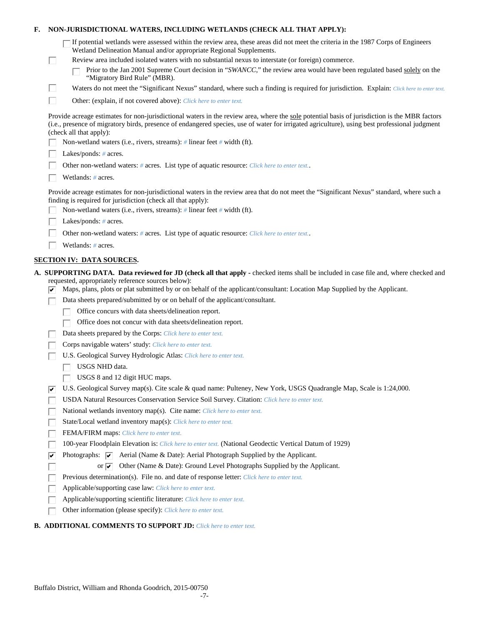| F. |        | NON-JURISDICTIONAL WATERS, INCLUDING WETLANDS (CHECK ALL THAT APPLY):                                                                                                                                                                                                                                                     |
|----|--------|---------------------------------------------------------------------------------------------------------------------------------------------------------------------------------------------------------------------------------------------------------------------------------------------------------------------------|
|    |        | If potential wetlands were assessed within the review area, these areas did not meet the criteria in the 1987 Corps of Engineers<br>Wetland Delineation Manual and/or appropriate Regional Supplements.                                                                                                                   |
|    | $\Box$ | Review area included isolated waters with no substantial nexus to interstate (or foreign) commerce.<br>Prior to the Jan 2001 Supreme Court decision in "SWANCC," the review area would have been regulated based solely on the<br>"Migratory Bird Rule" (MBR).                                                            |
|    | Ш      | Waters do not meet the "Significant Nexus" standard, where such a finding is required for jurisdiction. Explain: Click here to enter text.                                                                                                                                                                                |
|    | П      | Other: (explain, if not covered above): Click here to enter text.                                                                                                                                                                                                                                                         |
|    |        | Provide acreage estimates for non-jurisdictional waters in the review area, where the sole potential basis of jurisdiction is the MBR factors<br>(i.e., presence of migratory birds, presence of endangered species, use of water for irrigated agriculture), using best professional judgment<br>(check all that apply): |
|    |        | Non-wetland waters (i.e., rivers, streams): # linear feet # width (ft).                                                                                                                                                                                                                                                   |
|    |        | Lakes/ponds: $# \, \text{acres.}$                                                                                                                                                                                                                                                                                         |
|    |        | Other non-wetland waters: # acres. List type of aquatic resource: Click here to enter text                                                                                                                                                                                                                                |
|    |        | Wetlands: # acres.                                                                                                                                                                                                                                                                                                        |
|    |        | Provide acreage estimates for non-jurisdictional waters in the review area that do not meet the "Significant Nexus" standard, where such a<br>finding is required for jurisdiction (check all that apply):                                                                                                                |
|    |        | Non-wetland waters (i.e., rivers, streams): $\#$ linear feet $\#$ width (ft).                                                                                                                                                                                                                                             |
|    |        | Lakes/ponds: $# \, \text{acres.}$                                                                                                                                                                                                                                                                                         |
|    |        | Other non-wetland waters: # acres. List type of aquatic resource: Click here to enter text                                                                                                                                                                                                                                |
|    |        | Wetlands: # acres.                                                                                                                                                                                                                                                                                                        |
|    |        | <b>SECTION IV: DATA SOURCES.</b>                                                                                                                                                                                                                                                                                          |
|    | V.     | A. SUPPORTING DATA. Data reviewed for JD (check all that apply - checked items shall be included in case file and, where checked and<br>requested, appropriately reference sources below):<br>Maps, plans, plots or plat submitted by or on behalf of the applicant/consultant: Location Map Supplied by the Applicant.   |
|    |        | Data sheets prepared/submitted by or on behalf of the applicant/consultant.                                                                                                                                                                                                                                               |
|    |        | Office concurs with data sheets/delineation report.                                                                                                                                                                                                                                                                       |
|    |        | Office does not concur with data sheets/delineation report.                                                                                                                                                                                                                                                               |
|    |        | Data sheets prepared by the Corps: Click here to enter text.                                                                                                                                                                                                                                                              |
|    |        | Corps navigable waters' study: Click here to enter text.                                                                                                                                                                                                                                                                  |
|    |        | U.S. Geological Survey Hydrologic Atlas: Click here to enter text.                                                                                                                                                                                                                                                        |
|    |        | USGS NHD data.                                                                                                                                                                                                                                                                                                            |
|    |        | USGS 8 and 12 digit HUC maps.                                                                                                                                                                                                                                                                                             |
|    | ∣✔     | U.S. Geological Survey map(s). Cite scale & quad name: Pulteney, New York, USGS Quadrangle Map, Scale is 1:24,000.                                                                                                                                                                                                        |
|    |        | USDA Natural Resources Conservation Service Soil Survey. Citation: Click here to enter text.                                                                                                                                                                                                                              |
|    |        | National wetlands inventory map(s). Cite name: Click here to enter text.                                                                                                                                                                                                                                                  |
|    |        | State/Local wetland inventory map(s): Click here to enter text.                                                                                                                                                                                                                                                           |
|    |        | FEMA/FIRM maps: Click here to enter text.                                                                                                                                                                                                                                                                                 |
|    |        | 100-year Floodplain Elevation is: Click here to enter text. (National Geodectic Vertical Datum of 1929)                                                                                                                                                                                                                   |
|    | ⊽      | Photographs: $\boxed{\checkmark}$ Aerial (Name & Date): Aerial Photograph Supplied by the Applicant.                                                                                                                                                                                                                      |
|    |        | Other (Name & Date): Ground Level Photographs Supplied by the Applicant.<br>or $\overline{\mathbf{v}}$                                                                                                                                                                                                                    |
|    |        | Previous determination(s). File no. and date of response letter: Click here to enter text.                                                                                                                                                                                                                                |
|    |        | Applicable/supporting case law: Click here to enter text.                                                                                                                                                                                                                                                                 |
|    |        | Applicable/supporting scientific literature: Click here to enter text.                                                                                                                                                                                                                                                    |
|    |        | Other information (please specify): Click here to enter text.                                                                                                                                                                                                                                                             |

# **B. ADDITIONAL COMMENTS TO SUPPORT JD:** *Click here to enter text.*